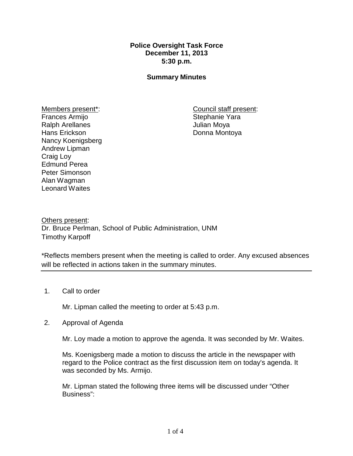## **Police Oversight Task Force December 11, 2013 5:30 p.m.**

### **Summary Minutes**

Members present\*: Frances Armijo Ralph Arellanes Hans Erickson Nancy Koenigsberg Andrew Lipman Craig Loy Edmund Perea Peter Simonson Alan Wagman Leonard Waites

Council staff present: Stephanie Yara Julian Moya Donna Montoya

Others present: Dr. Bruce Perlman, School of Public Administration, UNM Timothy Karpoff

\*Reflects members present when the meeting is called to order. Any excused absences will be reflected in actions taken in the summary minutes.

### 1. Call to order

Mr. Lipman called the meeting to order at 5:43 p.m.

### 2. Approval of Agenda

Mr. Loy made a motion to approve the agenda. It was seconded by Mr. Waites.

Ms. Koenigsberg made a motion to discuss the article in the newspaper with regard to the Police contract as the first discussion item on today's agenda. It was seconded by Ms. Armijo.

Mr. Lipman stated the following three items will be discussed under "Other Business":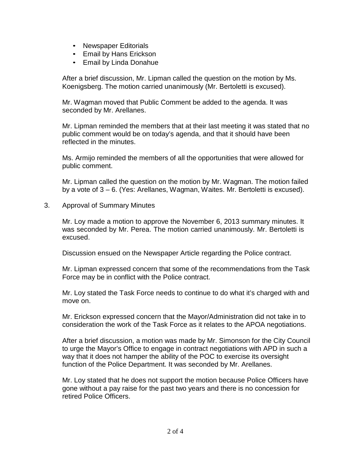- Newspaper Editorials
- Email by Hans Erickson
- Email by Linda Donahue

After a brief discussion, Mr. Lipman called the question on the motion by Ms. Koenigsberg. The motion carried unanimously (Mr. Bertoletti is excused).

Mr. Wagman moved that Public Comment be added to the agenda. It was seconded by Mr. Arellanes.

Mr. Lipman reminded the members that at their last meeting it was stated that no public comment would be on today's agenda, and that it should have been reflected in the minutes.

Ms. Armijo reminded the members of all the opportunities that were allowed for public comment.

Mr. Lipman called the question on the motion by Mr. Wagman. The motion failed by a vote of 3 – 6. (Yes: Arellanes, Wagman, Waites. Mr. Bertoletti is excused).

3. Approval of Summary Minutes

Mr. Loy made a motion to approve the November 6, 2013 summary minutes. It was seconded by Mr. Perea. The motion carried unanimously. Mr. Bertoletti is excused.

Discussion ensued on the Newspaper Article regarding the Police contract.

Mr. Lipman expressed concern that some of the recommendations from the Task Force may be in conflict with the Police contract.

Mr. Loy stated the Task Force needs to continue to do what it's charged with and move on.

Mr. Erickson expressed concern that the Mayor/Administration did not take in to consideration the work of the Task Force as it relates to the APOA negotiations.

After a brief discussion, a motion was made by Mr. Simonson for the City Council to urge the Mayor's Office to engage in contract negotiations with APD in such a way that it does not hamper the ability of the POC to exercise its oversight function of the Police Department. It was seconded by Mr. Arellanes.

Mr. Loy stated that he does not support the motion because Police Officers have gone without a pay raise for the past two years and there is no concession for retired Police Officers.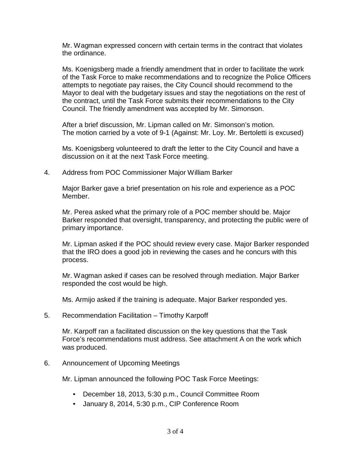Mr. Wagman expressed concern with certain terms in the contract that violates the ordinance.

Ms. Koenigsberg made a friendly amendment that in order to facilitate the work of the Task Force to make recommendations and to recognize the Police Officers attempts to negotiate pay raises, the City Council should recommend to the Mayor to deal with the budgetary issues and stay the negotiations on the rest of the contract, until the Task Force submits their recommendations to the City Council. The friendly amendment was accepted by Mr. Simonson.

After a brief discussion, Mr. Lipman called on Mr. Simonson's motion. The motion carried by a vote of 9-1 (Against: Mr. Loy. Mr. Bertoletti is excused)

Ms. Koenigsberg volunteered to draft the letter to the City Council and have a discussion on it at the next Task Force meeting.

4. Address from POC Commissioner Major William Barker

Major Barker gave a brief presentation on his role and experience as a POC Member.

Mr. Perea asked what the primary role of a POC member should be. Major Barker responded that oversight, transparency, and protecting the public were of primary importance.

Mr. Lipman asked if the POC should review every case. Major Barker responded that the IRO does a good job in reviewing the cases and he concurs with this process.

Mr. Wagman asked if cases can be resolved through mediation. Major Barker responded the cost would be high.

Ms. Armijo asked if the training is adequate. Major Barker responded yes.

5. Recommendation Facilitation – Timothy Karpoff

Mr. Karpoff ran a facilitated discussion on the key questions that the Task Force's recommendations must address. See attachment A on the work which was produced.

6. Announcement of Upcoming Meetings

Mr. Lipman announced the following POC Task Force Meetings:

- December 18, 2013, 5:30 p.m., Council Committee Room
- January 8, 2014, 5:30 p.m., CIP Conference Room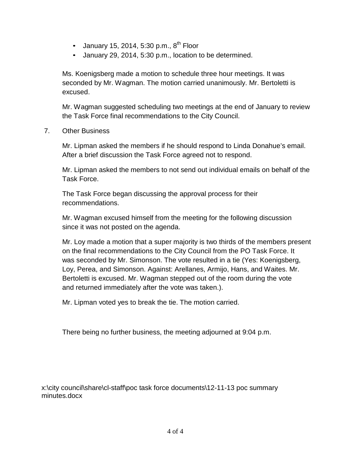- January 15, 2014, 5:30 p.m.,  $8^{th}$  Floor
- January 29, 2014, 5:30 p.m., location to be determined.

Ms. Koenigsberg made a motion to schedule three hour meetings. It was seconded by Mr. Wagman. The motion carried unanimously. Mr. Bertoletti is excused.

Mr. Wagman suggested scheduling two meetings at the end of January to review the Task Force final recommendations to the City Council.

7. Other Business

Mr. Lipman asked the members if he should respond to Linda Donahue's email. After a brief discussion the Task Force agreed not to respond.

Mr. Lipman asked the members to not send out individual emails on behalf of the Task Force.

The Task Force began discussing the approval process for their recommendations.

Mr. Wagman excused himself from the meeting for the following discussion since it was not posted on the agenda.

Mr. Loy made a motion that a super majority is two thirds of the members present on the final recommendations to the City Council from the PO Task Force. It was seconded by Mr. Simonson. The vote resulted in a tie (Yes: Koenigsberg, Loy, Perea, and Simonson. Against: Arellanes, Armijo, Hans, and Waites. Mr. Bertoletti is excused. Mr. Wagman stepped out of the room during the vote and returned immediately after the vote was taken.).

Mr. Lipman voted yes to break the tie. The motion carried.

There being no further business, the meeting adjourned at 9:04 p.m.

x:\city council\share\cl-staff\poc task force documents\12-11-13 poc summary minutes.docx